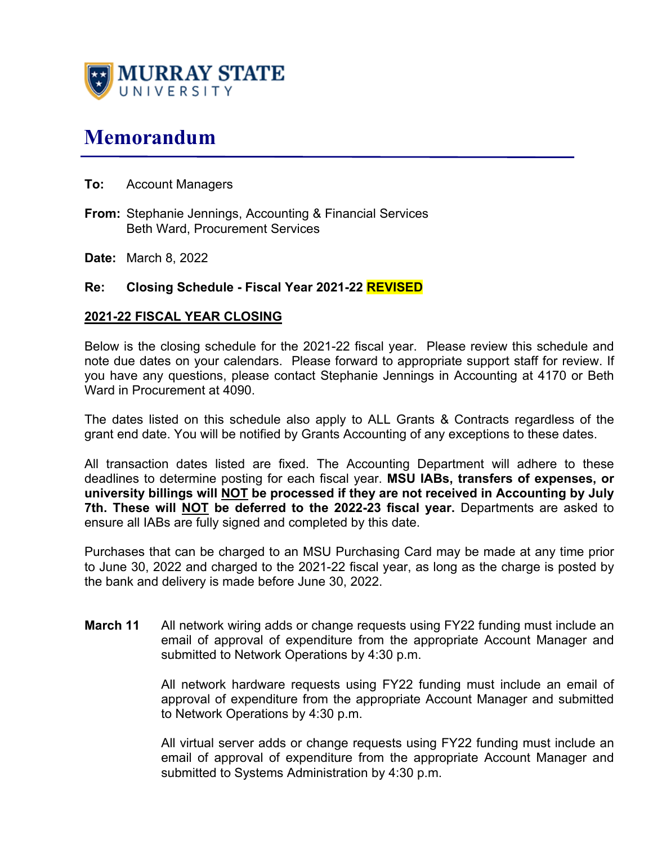

# **Memorandum**

- **To:** Account Managers
- **From:** Stephanie Jennings, Accounting & Financial Services Beth Ward, Procurement Services
- **Date:** March 8, 2022

### **Re: Closing Schedule - Fiscal Year 2021-22 REVISED**

#### **2021-22 FISCAL YEAR CLOSING**

Below is the closing schedule for the 2021-22 fiscal year. Please review this schedule and note due dates on your calendars. Please forward to appropriate support staff for review. If you have any questions, please contact Stephanie Jennings in Accounting at 4170 or Beth Ward in Procurement at 4090.

The dates listed on this schedule also apply to ALL Grants & Contracts regardless of the grant end date. You will be notified by Grants Accounting of any exceptions to these dates.

All transaction dates listed are fixed. The Accounting Department will adhere to these deadlines to determine posting for each fiscal year. **MSU IABs, transfers of expenses, or university billings will NOT be processed if they are not received in Accounting by July 7th. These will NOT be deferred to the 2022-23 fiscal year.** Departments are asked to ensure all IABs are fully signed and completed by this date.

Purchases that can be charged to an MSU Purchasing Card may be made at any time prior to June 30, 2022 and charged to the 2021-22 fiscal year, as long as the charge is posted by the bank and delivery is made before June 30, 2022.

**March 11** All network wiring adds or change requests using FY22 funding must include an email of approval of expenditure from the appropriate Account Manager and submitted to Network Operations by 4:30 p.m.

> All network hardware requests using FY22 funding must include an email of approval of expenditure from the appropriate Account Manager and submitted to Network Operations by 4:30 p.m.

> All virtual server adds or change requests using FY22 funding must include an email of approval of expenditure from the appropriate Account Manager and submitted to Systems Administration by 4:30 p.m.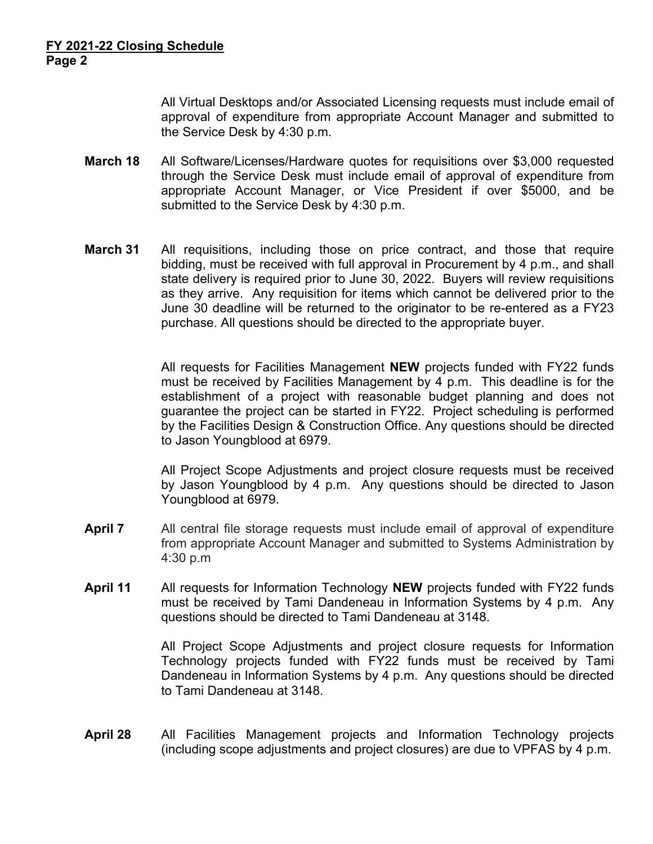All Virtual Desktops and/or Associated Licensing requests must include email of approval of expenditure from appropriate Account Manager and submitted to the Service Desk by 4:30 p.m.

- **March 18** All Software/Licenses/Hardware quotes for requisitions over \$3,000 requested through the Service Desk must include email of approval of expenditure from appropriate Account Manager, or Vice President if over \$5000, and be submitted to the Service Desk by 4:30 p.m.
- **March 31** All requisitions, including those on price contract, and those that require bidding, must be received with full approval in Procurement by 4 p.m., and shall state delivery is required prior to June 30, 2022. Buyers will review requisitions as they arrive. Any requisition for items which cannot be delivered prior to the June 30 deadline will be returned to the originator to be re-entered as a FY23 purchase. All questions should be directed to the appropriate buyer.

All requests for Facilities Management **NEW** projects funded with FY22 funds must be received by Facilities Management by 4 p.m. This deadline is for the establishment of a project with reasonable budget planning and does not guarantee the project can be started in FY22. Project scheduling is performed by the Facilities Design & Construction Office. Any questions should be directed to Jason Youngblood at 6979.

 All Project Scope Adjustments and project closure requests must be received by Jason Youngblood by 4 p.m. Any questions should be directed to Jason Youngblood at 6979.

- **April 7** All central file storage requests must include email of approval of expenditure from appropriate Account Manager and submitted to Systems Administration by 4:30 p.m
- **April 11** All requests for Information Technology **NEW** projects funded with FY22 funds must be received by Tami Dandeneau in Information Systems by 4 p.m. Any questions should be directed to Tami Dandeneau at 3148.

 All Project Scope Adjustments and project closure requests for Information Technology projects funded with FY22 funds must be received by Tami Dandeneau in Information Systems by 4 p.m. Any questions should be directed to Tami Dandeneau at 3148.

**April 28** All Facilities Management projects and Information Technology projects (including scope adjustments and project closures) are due to VPFAS by 4 p.m.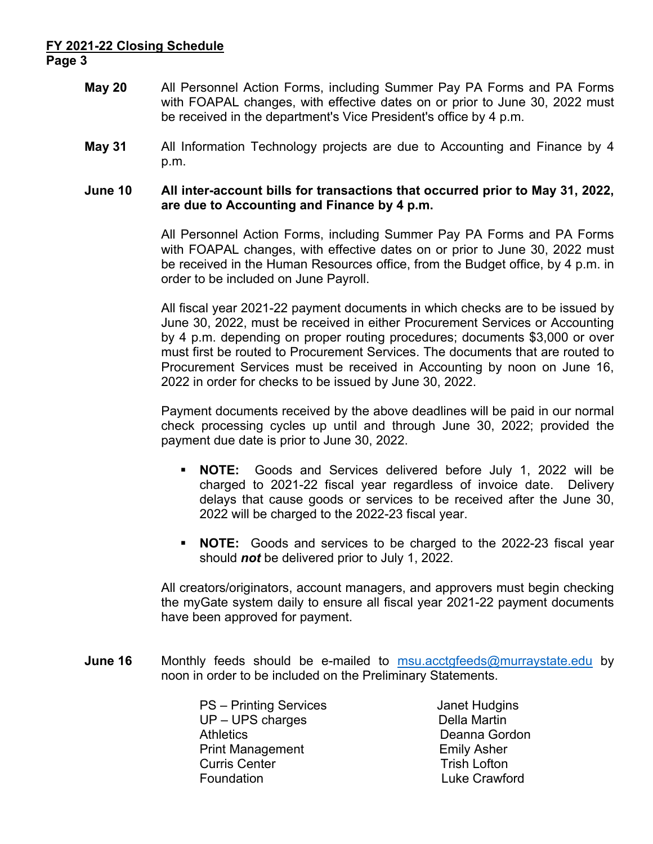# **FY 2021-22 Closing Schedule Page 3**

- **May 20** All Personnel Action Forms, including Summer Pay PA Forms and PA Forms with FOAPAL changes, with effective dates on or prior to June 30, 2022 must be received in the department's Vice President's office by 4 p.m.
- **May 31** All Information Technology projects are due to Accounting and Finance by 4 p.m.

#### **June 10 All inter-account bills for transactions that occurred prior to May 31, 2022, are due to Accounting and Finance by 4 p.m.**

All Personnel Action Forms, including Summer Pay PA Forms and PA Forms with FOAPAL changes, with effective dates on or prior to June 30, 2022 must be received in the Human Resources office, from the Budget office, by 4 p.m. in order to be included on June Payroll.

All fiscal year 2021-22 payment documents in which checks are to be issued by June 30, 2022, must be received in either Procurement Services or Accounting by 4 p.m. depending on proper routing procedures; documents \$3,000 or over must first be routed to Procurement Services. The documents that are routed to Procurement Services must be received in Accounting by noon on June 16, 2022 in order for checks to be issued by June 30, 2022.

Payment documents received by the above deadlines will be paid in our normal check processing cycles up until and through June 30, 2022; provided the payment due date is prior to June 30, 2022.

- **NOTE:** Goods and Services delivered before July 1, 2022 will be charged to 2021-22 fiscal year regardless of invoice date. Delivery delays that cause goods or services to be received after the June 30, 2022 will be charged to the 2022-23 fiscal year.
- **NOTE:** Goods and services to be charged to the 2022-23 fiscal year should *not* be delivered prior to July 1, 2022.

All creators/originators, account managers, and approvers must begin checking the myGate system daily to ensure all fiscal year 2021-22 payment documents have been approved for payment.

**June 16** Monthly feeds should be e-mailed to msu.acctgfeeds@murraystate.edu by noon in order to be included on the Preliminary Statements.

> PS – Printing Services Janet Hudgins UP – UPS charges Della Martin Athletics Deanna Gordon Print Management **Emily Asher Curris Center** Trish Lofton Foundation Luke Crawford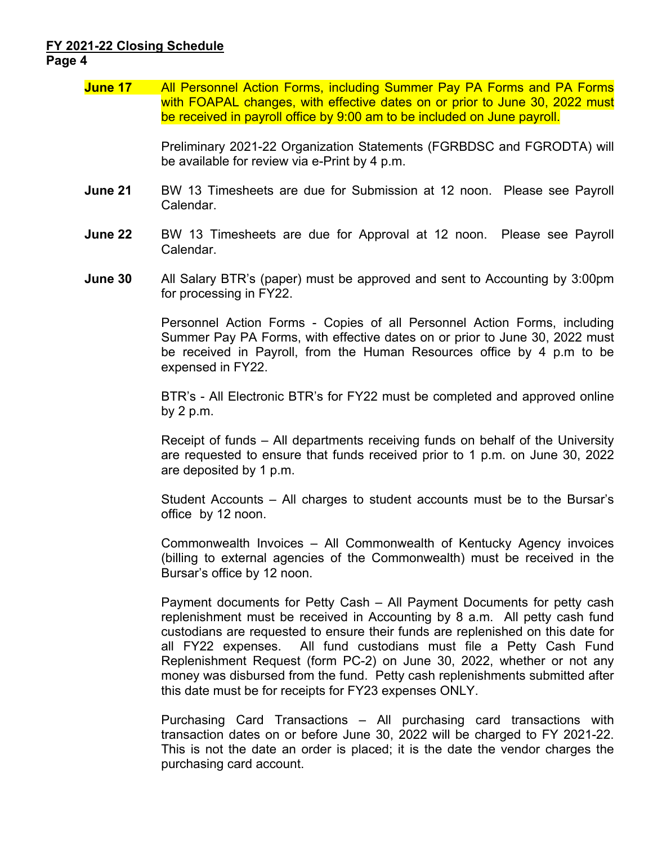#### **FY 2021-22 Closing Schedule Page 4**

## **June 17** All Personnel Action Forms, including Summer Pay PA Forms and PA Forms with FOAPAL changes, with effective dates on or prior to June 30, 2022 must be received in payroll office by 9:00 am to be included on June payroll.

 Preliminary 2021-22 Organization Statements (FGRBDSC and FGRODTA) will be available for review via e-Print by 4 p.m.

- **June 21** BW 13 Timesheets are due for Submission at 12 noon. Please see Payroll Calendar.
- **June 22** BW 13 Timesheets are due for Approval at 12 noon. Please see Payroll Calendar.
- **June 30** All Salary BTR's (paper) must be approved and sent to Accounting by 3:00pm for processing in FY22.

Personnel Action Forms - Copies of all Personnel Action Forms, including Summer Pay PA Forms, with effective dates on or prior to June 30, 2022 must be received in Payroll, from the Human Resources office by 4 p.m to be expensed in FY22.

BTR's - All Electronic BTR's for FY22 must be completed and approved online by 2 p.m.

Receipt of funds – All departments receiving funds on behalf of the University are requested to ensure that funds received prior to 1 p.m. on June 30, 2022 are deposited by 1 p.m.

Student Accounts – All charges to student accounts must be to the Bursar's office by 12 noon.

Commonwealth Invoices – All Commonwealth of Kentucky Agency invoices (billing to external agencies of the Commonwealth) must be received in the Bursar's office by 12 noon.

Payment documents for Petty Cash – All Payment Documents for petty cash replenishment must be received in Accounting by 8 a.m. All petty cash fund custodians are requested to ensure their funds are replenished on this date for all FY22 expenses. All fund custodians must file a Petty Cash Fund Replenishment Request (form PC-2) on June 30, 2022, whether or not any money was disbursed from the fund. Petty cash replenishments submitted after this date must be for receipts for FY23 expenses ONLY.

Purchasing Card Transactions – All purchasing card transactions with transaction dates on or before June 30, 2022 will be charged to FY 2021-22. This is not the date an order is placed; it is the date the vendor charges the purchasing card account.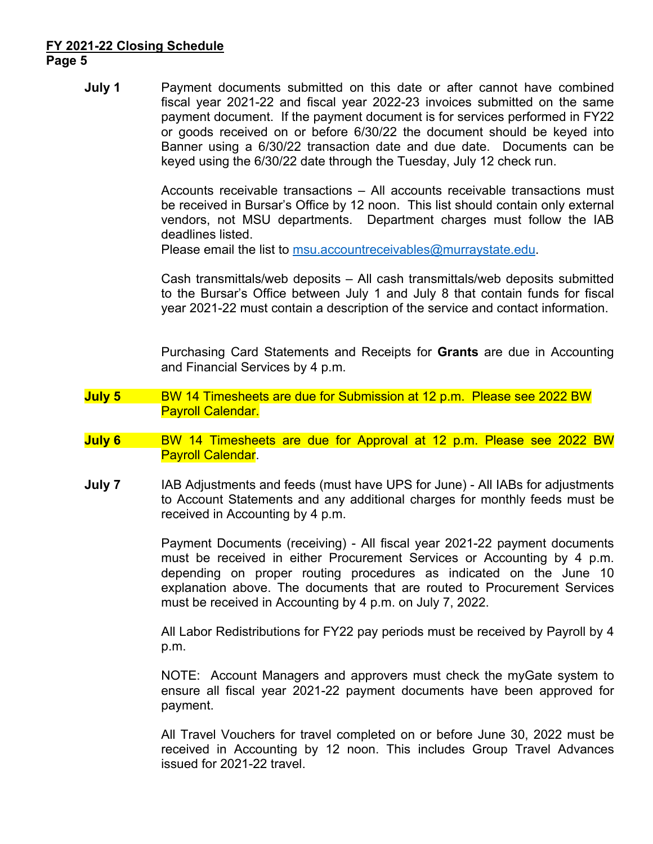# **FY 2021-22 Closing Schedule Page 5**

**July 1** Payment documents submitted on this date or after cannot have combined fiscal year 2021-22 and fiscal year 2022-23 invoices submitted on the same payment document. If the payment document is for services performed in FY22 or goods received on or before 6/30/22 the document should be keyed into Banner using a 6/30/22 transaction date and due date. Documents can be keyed using the 6/30/22 date through the Tuesday, July 12 check run.

> Accounts receivable transactions – All accounts receivable transactions must be received in Bursar's Office by 12 noon. This list should contain only external vendors, not MSU departments. Department charges must follow the IAB deadlines listed.

Please email the list to msu.accountreceivables@murraystate.edu.

Cash transmittals/web deposits – All cash transmittals/web deposits submitted to the Bursar's Office between July 1 and July 8 that contain funds for fiscal year 2021-22 must contain a description of the service and contact information.

 Purchasing Card Statements and Receipts for **Grants** are due in Accounting and Financial Services by 4 p.m.

- **July 5** BW 14 Timesheets are due for Submission at 12 p.m. Please see 2022 BW Payroll Calendar.
- **July 6** BW 14 Timesheets are due for Approval at 12 p.m. Please see 2022 BW Payroll Calendar.
- **July 7** IAB Adjustments and feeds (must have UPS for June) All IABs for adjustments to Account Statements and any additional charges for monthly feeds must be received in Accounting by 4 p.m.

Payment Documents (receiving) - All fiscal year 2021-22 payment documents must be received in either Procurement Services or Accounting by 4 p.m. depending on proper routing procedures as indicated on the June 10 explanation above. The documents that are routed to Procurement Services must be received in Accounting by 4 p.m. on July 7, 2022.

All Labor Redistributions for FY22 pay periods must be received by Payroll by 4 p.m.

NOTE: Account Managers and approvers must check the myGate system to ensure all fiscal year 2021-22 payment documents have been approved for payment.

All Travel Vouchers for travel completed on or before June 30, 2022 must be received in Accounting by 12 noon. This includes Group Travel Advances issued for 2021-22 travel.